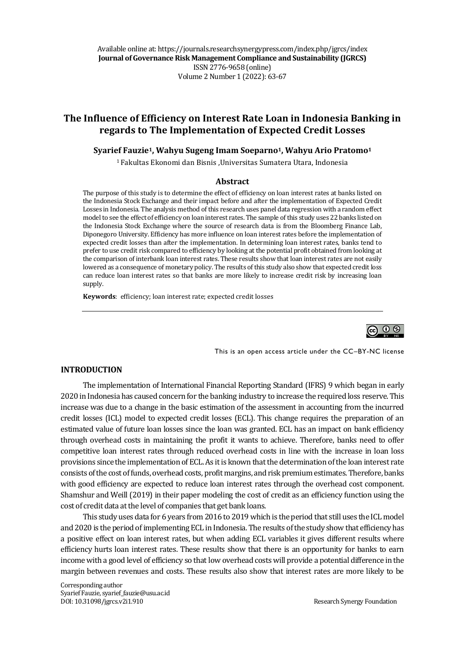Available online at: https://journals.researchsynergypress.com/index.php/jgrcs/index **Journal of Governance Risk Management Compliance and Sustainability (JGRCS)** ISSN 2776-9658 (online) Volume 2Number 1 (2022): 63-67

# **The Influence of Efficiency on Interest Rate Loan in Indonesia Banking in regards to The Implementation of Expected Credit Losses**

#### **Syarief Fauzie1, Wahyu Sugeng Imam Soeparno1, Wahyu Ario Pratomo<sup>1</sup>**

<sup>1</sup> Fakultas Ekonomi dan Bisnis ,Universitas Sumatera Utara, Indonesia

#### **Abstract**

The purpose of this study is to determine the effect of efficiency on loan interest rates at banks listed on the Indonesia Stock Exchange and their impact before and after the implementation of Expected Credit Losses in Indonesia. The analysis method of this research uses panel data regression with a random effect model to see the effect of efficiency on loan interest rates. The sample of this study uses 22 banks listed on the Indonesia Stock Exchange where the source of research data is from the Bloomberg Finance Lab, Diponegoro University. Efficiency has more influence on loan interest rates before the implementation of expected credit losses than after the implementation. In determining loan interest rates, banks tend to prefer to use credit risk compared to efficiency by looking at the potential profit obtained from looking at the comparison of interbank loan interest rates. These results show that loan interest rates are not easily lowered as a consequence of monetary policy. The results of this study also show that expected credit loss can reduce loan interest rates so that banks are more likely to increase credit risk by increasing loan supply.

**Keywords**: efficiency; loan interest rate; expected credit losses



This is an open access article under the CC–BY-NC license

#### **INTRODUCTION**

The implementation of International Financial Reporting Standard (IFRS) 9 which began in early 2020 in Indonesia has caused concern for the banking industry to increase the required loss reserve. This increase was due to a change in the basic estimation of the assessment in accounting from the incurred credit losses (ICL) model to expected credit losses (ECL). This change requires the preparation of an estimated value of future loan losses since the loan was granted. ECL has an impact on bank efficiency through overhead costs in maintaining the profit it wants to achieve. Therefore, banks need to offer competitive loan interest rates through reduced overhead costs in line with the increase in loan loss provisions since the implementation of ECL. As it is known that the determination of the loan interest rate consists of the cost of funds, overhead costs, profit margins, and risk premium estimates. Therefore, banks with good efficiency are expected to reduce loan interest rates through the overhead cost component. Shamshur and Weill (2019) in their paper modeling the cost of credit as an efficiency function using the cost of credit data at the level of companies that get bank loans.

This study uses data for 6 years from 2016 to 2019 which is the period that still uses the ICL model and 2020 is the period of implementing ECL in Indonesia. The results of the study show that efficiency has a positive effect on loan interest rates, but when adding ECL variables it gives different results where efficiency hurts loan interest rates. These results show that there is an opportunity for banks to earn income with a good level of efficiency so that low overhead costs will provide a potential difference in the margin between revenues and costs. These results also show that interest rates are more likely to be

Corresponding author Syarief Fauzie, syarief\_fauzie@usu.ac.id DOI: 10.31098/jgrcs.v2i1.910 Research Synergy Foundation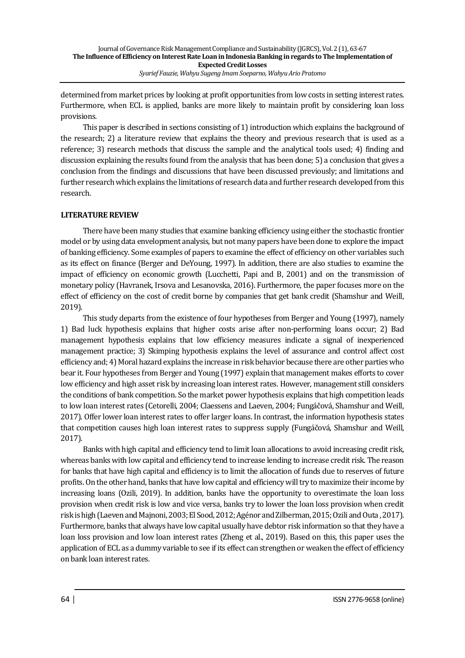determined from market prices by looking at profit opportunities from low costs in setting interest rates. Furthermore, when ECL is applied, banks are more likely to maintain profit by considering loan loss provisions.

This paper is described in sections consisting of 1) introduction which explains the background of the research; 2) a literature review that explains the theory and previous research that is used as a reference; 3) research methods that discuss the sample and the analytical tools used; 4) finding and discussion explaining the results found from the analysis that has been done; 5) a conclusion that gives a conclusion from the findings and discussions that have been discussed previously; and limitations and further research which explains the limitations of research data and further research developed from this research.

# **LITERATURE REVIEW**

There have been many studies that examine banking efficiency using either the stochastic frontier model or by using data envelopment analysis, but not many papers have been done to explore the impact of banking efficiency. Some examples of papers to examine the effect of efficiency on other variables such as its effect on finance (Berger and DeYoung, 1997). In addition, there are also studies to examine the impact of efficiency on economic growth (Lucchetti, Papi and B, 2001) and on the transmission of monetary policy (Havranek, Irsova and Lesanovska, 2016). Furthermore, the paper focuses more on the effect of efficiency on the cost of credit borne by companies that get bank credit (Shamshur and Weill, 2019).

This study departs from the existence of four hypotheses from Berger and Young (1997), namely 1) Bad luck hypothesis explains that higher costs arise after non-performing loans occur; 2) Bad management hypothesis explains that low efficiency measures indicate a signal of inexperienced management practice; 3) Skimping hypothesis explains the level of assurance and control affect cost efficiency and; 4) Moral hazard explains the increase in risk behavior because there are other parties who bear it. Four hypotheses from Berger and Young (1997) explain that management makes efforts to cover low efficiency and high asset risk by increasing loan interest rates. However, management still considers the conditions of bank competition. So the market power hypothesis explains that high competition leads to low loan interest rates (Cetorelli, 2004; Claessens and Laeven, 2004; Fungáčová, Shamshur and Weill, 2017). Offer lower loan interest rates to offer larger loans. In contrast, the information hypothesis states that competition causes high loan interest rates to suppress supply (Fungáčová, Shamshur and Weill, 2017).

Banks with high capital and efficiency tend to limit loan allocations to avoid increasing credit risk, whereas banks with low capital and efficiency tend to increase lending to increase credit risk. The reason for banks that have high capital and efficiency is to limit the allocation of funds due to reserves of future profits. On the other hand, banks that have low capital and efficiency will try to maximize their income by increasing loans (Ozili, 2019). In addition, banks have the opportunity to overestimate the loan loss provision when credit risk is low and vice versa, banks try to lower the loan loss provision when credit risk is high (Laeven and Majnoni, 2003; El Sood, 2012; Agénor and Zilberman, 2015; Ozili and Outa , 2017). Furthermore, banks that always have low capital usually have debtor risk information so that they have a loan loss provision and low loan interest rates (Zheng et al., 2019). Based on this, this paper uses the application of ECL as a dummy variable to see if its effect can strengthen or weaken the effect of efficiency on bank loan interest rates.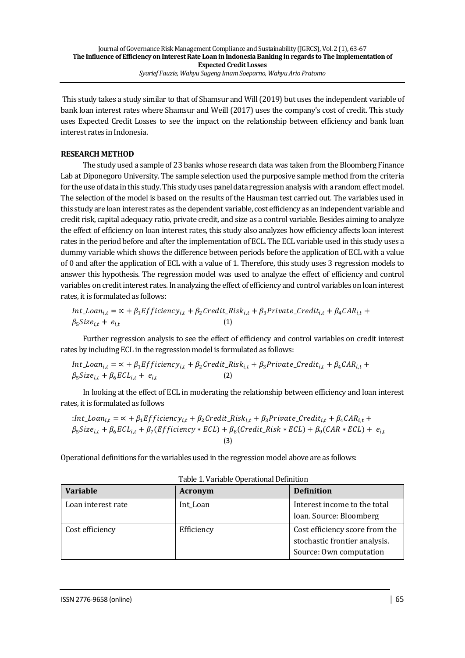This study takes a study similar to that of Shamsur and Will (2019) but uses the independent variable of bank loan interest rates where Shamsur and Weill (2017) uses the company's cost of credit. This study uses Expected Credit Losses to see the impact on the relationship between efficiency and bank loan interest rates in Indonesia.

## **RESEARCH METHOD**

The study used a sample of 23 banks whose research data was taken from the Bloomberg Finance Lab at Diponegoro University. The sample selection used the purposive sample method from the criteria for the use of data in this study. This study uses panel data regression analysis with a random effect model. The selection of the model is based on the results of the Hausman test carried out. The variables used in this study are loan interest rates as the dependent variable, cost efficiency as an independent variable and credit risk, capital adequacy ratio, private credit, and size as a control variable. Besides aiming to analyze the effect of efficiency on loan interest rates, this study also analyzes how efficiency affects loan interest rates in the period before and after the implementation of ECL. The ECL variable used in this study uses a dummy variable which shows the difference between periods before the application of ECL with a value of 0 and after the application of ECL with a value of 1. Therefore, this study uses 3 regression models to answer this hypothesis. The regression model was used to analyze the effect of efficiency and control variables on credit interest rates. In analyzing the effect of efficiency and control variables on loan interest rates, it is formulated as follows:

$$
Int\_Ioan_{i,t} = \alpha + \beta_1 Efficiency_{i,t} + \beta_2 Credit\_Risk_{i,t} + \beta_3 Private\_Credit_{i,t} + \beta_4 CAR_{i,t} + \beta_5 Size_{i,t} + e_{i,t}
$$
\n(1)

Further regression analysis to see the effect of efficiency and control variables on credit interest rates by including ECL in the regression model is formulated as follows:

$$
Int\_Ioan_{i,t} = \alpha + \beta_1 Efficiency_{i,t} + \beta_2 Credit\_Risk_{i,t} + \beta_3 Private\_Credit_{i,t} + \beta_4 CAR_{i,t} + \beta_5 Size_{i,t} + \beta_6 ECL_{i,t} + e_{i,t}
$$
\n(2)

In looking at the effect of ECL in moderating the relationship between efficiency and loan interest rates, it is formulated as follows

:Int<sub>1</sub> *London*<sub>i,t</sub> = 
$$
\alpha + \beta_1 Ef
$$
 *ficiency*<sub>i,t</sub> +  $\beta_2 C$  *redit*<sub>i,t</sub> +  $\beta_3 P$  *rivate*<sub>i,t</sub> +  $\beta_4 C A R_{i,t}$  +  
\n $\beta_5 Size_{i,t} + \beta_6 E CL_{i,t} + \beta_7 (Efficiency * ECL) + \beta_8 (Credit\_Risk * ECL) + \beta_9 (CAR * ECL) + e_{i,t}$   
\n(3)

Operational definitions for the variables used in the regression model above are as follows:

| <b>Variable</b>    | Acronym    | <b>Definition</b>                                                                          |
|--------------------|------------|--------------------------------------------------------------------------------------------|
| Loan interest rate | Int_Loan   | Interest income to the total<br>loan. Source: Bloomberg                                    |
| Cost efficiency    | Efficiency | Cost efficiency score from the<br>stochastic frontier analysis.<br>Source: Own computation |

| Table 1. Variable Operational Definition |  |
|------------------------------------------|--|
|------------------------------------------|--|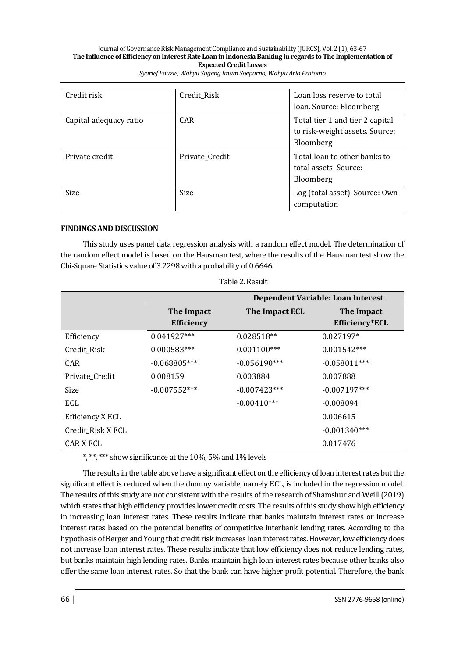#### Journal of Governance Risk Management Compliance and Sustainability (JGRCS), Vol. 2 (1), 63-67 **The Influence of Efficiency on Interest Rate Loan in Indonesia Banking in regards to The Implementation of Expected Credit Losses** *Syarief Fauzie, Wahyu Sugeng Imam Soeparno, Wahyu Ario Pratomo*

| Credit risk            | Credit Risk    | Loan loss reserve to total      |  |
|------------------------|----------------|---------------------------------|--|
|                        |                | loan. Source: Bloomberg         |  |
| Capital adequacy ratio | CAR.           | Total tier 1 and tier 2 capital |  |
|                        |                | to risk-weight assets. Source:  |  |
|                        |                | Bloomberg                       |  |
| Private credit         | Private Credit | Total loan to other banks to    |  |
|                        |                | total assets. Source:           |  |
|                        |                | Bloomberg                       |  |
| Size                   | <b>Size</b>    | Log (total asset). Source: Own  |  |
|                        |                | computation                     |  |

### **FINDINGS AND DISCUSSION**

This study uses panel data regression analysis with a random effect model. The determination of the random effect model is based on the Hausman test, where the results of the Hausman test show the Chi-Square Statistics value of 3.2298 with a probability of 0.6646.

|                   |                                 | Dependent Variable: Loan Interest |                              |  |
|-------------------|---------------------------------|-----------------------------------|------------------------------|--|
|                   | The Impact<br><b>Efficiency</b> | The Impact ECL                    | The Impact<br>Efficiency*ECL |  |
| Efficiency        | $0.041927***$                   | $0.028518**$                      | $0.027197*$                  |  |
| Credit Risk       | $0.000583***$                   | $0.001100***$                     | $0.001542***$                |  |
| <b>CAR</b>        | $-0.068805***$                  | $-0.056190***$                    | $-0.058011***$               |  |
| Private Credit    | 0.008159                        | 0.003884                          | 0.007888                     |  |
| Size              | $-0.007552***$                  | $-0.007423***$                    | $-0.007197***$               |  |
| ECL               |                                 | $-0.00410***$                     | $-0,008094$                  |  |
| Efficiency X ECL  |                                 |                                   | 0.006615                     |  |
| Credit_Risk X ECL |                                 |                                   | $-0.001340***$               |  |
| CAR X ECL         |                                 |                                   | 0.017476                     |  |

\*, \*\*, \*\*\* show significance at the 10%, 5% and 1% levels

The results in the table above have a significant effect on the efficiency of loan interest rates but the significant effect is reduced when the dummy variable, namely ECL, is included in the regression model. The results of this study are not consistent with the results of the research of Shamshur and Weill (2019) which states that high efficiency provides lower credit costs. The results of this study show high efficiency in increasing loan interest rates. These results indicate that banks maintain interest rates or increase interest rates based on the potential benefits of competitive interbank lending rates. According to the hypothesis of Berger and Young that credit risk increases loan interest rates. However, low efficiency does not increase loan interest rates. These results indicate that low efficiency does not reduce lending rates, but banks maintain high lending rates. Banks maintain high loan interest rates because other banks also offer the same loan interest rates. So that the bank can have higher profit potential. Therefore, the bank